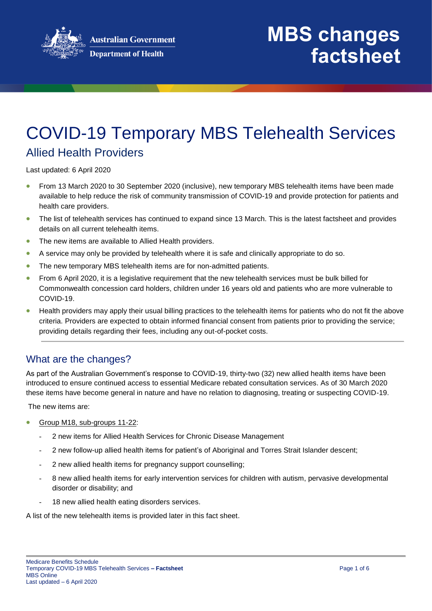

### COVID-19 Temporary MBS Telehealth Services Allied Health Providers

Last updated: 6 April 2020

- From 13 March 2020 to 30 September 2020 (inclusive), new temporary MBS telehealth items have been made available to help reduce the risk of community transmission of COVID-19 and provide protection for patients and health care providers.
- The list of telehealth services has continued to expand since 13 March. This is the latest factsheet and provides details on all current telehealth items.
- The new items are available to Allied Health providers.
- A service may only be provided by telehealth where it is safe and clinically appropriate to do so.
- The new temporary MBS telehealth items are for non-admitted patients.
- From 6 April 2020, it is a legislative requirement that the new telehealth services must be bulk billed for Commonwealth concession card holders, children under 16 years old and patients who are more vulnerable to COVID-19.
- **•** Health providers may apply their usual billing practices to the telehealth items for patients who do not fit the above criteria. Providers are expected to obtain informed financial consent from patients prior to providing the service; providing details regarding their fees, including any out-of-pocket costs.

#### What are the changes?

As part of the Australian Government's response to COVID-19, thirty-two (32) new allied health items have been introduced to ensure continued access to essential Medicare rebated consultation services. As of 30 March 2020 these items have become general in nature and have no relation to diagnosing, treating or suspecting COVID-19.

The new items are:

- Group M18, sub-groups 11-22:
	- 2 new items for Allied Health Services for Chronic Disease Management
	- 2 new follow-up allied health items for patient's of Aboriginal and Torres Strait Islander descent;
	- 2 new allied health items for pregnancy support counselling;
	- 8 new allied health items for early intervention services for children with autism, pervasive developmental disorder or disability; and
	- 18 new allied health eating disorders services.

A list of the new telehealth items is provided later in this fact sheet.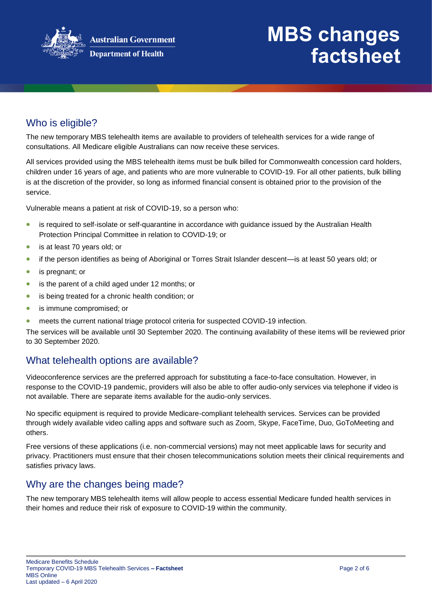

# **MBS changes factsheet**

### Who is eligible?

The new temporary MBS telehealth items are available to providers of telehealth services for a wide range of consultations. All Medicare eligible Australians can now receive these services.

All services provided using the MBS telehealth items must be bulk billed for Commonwealth concession card holders, children under 16 years of age, and patients who are more vulnerable to COVID-19. For all other patients, bulk billing is at the discretion of the provider, so long as informed financial consent is obtained prior to the provision of the service.

Vulnerable means a patient at risk of COVID-19, so a person who:

- is required to self-isolate or self-quarantine in accordance with guidance issued by the Australian Health Protection Principal Committee in relation to COVID-19; or
- is at least 70 years old; or
- if the person identifies as being of Aboriginal or Torres Strait Islander descent—is at least 50 years old; or
- is pregnant; or
- is the parent of a child aged under 12 months; or
- **•** is being treated for a chronic health condition; or
- **•** is immune compromised; or
- meets the current national triage protocol criteria for suspected COVID-19 infection.

The services will be available until 30 September 2020. The continuing availability of these items will be reviewed prior to 30 September 2020.

#### What telehealth options are available?

Videoconference services are the preferred approach for substituting a face-to-face consultation. However, in response to the COVID-19 pandemic, providers will also be able to offer audio-only services via telephone if video is not available. There are separate items available for the audio-only services.

No specific equipment is required to provide Medicare-compliant telehealth services. Services can be provided through widely available video calling apps and software such as Zoom, Skype, FaceTime, Duo, GoToMeeting and others.

Free versions of these applications (i.e. non-commercial versions) may not meet applicable laws for security and privacy. Practitioners must ensure that their chosen telecommunications solution meets their clinical requirements and satisfies privacy laws.

#### Why are the changes being made?

The new temporary MBS telehealth items will allow people to access essential Medicare funded health services in their homes and reduce their risk of exposure to COVID-19 within the community.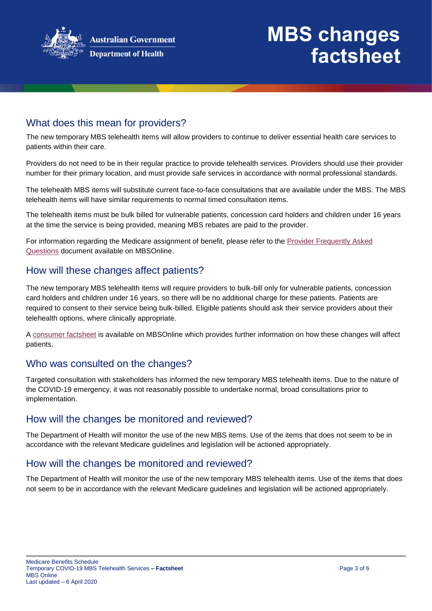

# **MBS changes factsheet**

#### What does this mean for providers?

The new temporary MBS telehealth items will allow providers to continue to deliver essential health care services to patients within their care.

Providers do not need to be in their regular practice to provide telehealth services. Providers should use their provider number for their primary location, and must provide safe services in accordance with normal professional standards.

The telehealth MBS items will substitute current face-to-face consultations that are available under the MBS. The MBS telehealth items will have similar requirements to normal timed consultation items.

The telehealth items must be bulk billed for vulnerable patients, concession card holders and children under 16 years at the time the service is being provided, meaning MBS rebates are paid to the provider.

For information regarding the Medicare assignment of benefit, please refer to the [Provider Frequently Asked](http://www.mbsonline.gov.au/internet/mbsonline/publishing.nsf/Content/Factsheet-TempBB)  [Questions](http://www.mbsonline.gov.au/internet/mbsonline/publishing.nsf/Content/Factsheet-TempBB) document available on MBSOnline.

#### How will these changes affect patients?

The new temporary MBS telehealth items will require providers to bulk-bill only for vulnerable patients, concession card holders and children under 16 years, so there will be no additional charge for these patients. Patients are required to consent to their service being bulk-billed. Eligible patients should ask their service providers about their telehealth options, where clinically appropriate.

A [consumer factsheet](http://www.mbsonline.gov.au/internet/mbsonline/publishing.nsf/Content/Factsheet-TempBB) is available on MBSOnline which provides further information on how these changes will affect patients.

#### Who was consulted on the changes?

Targeted consultation with stakeholders has informed the new temporary MBS telehealth items. Due to the nature of the COVID-19 emergency, it was not reasonably possible to undertake normal, broad consultations prior to implementation.

#### How will the changes be monitored and reviewed?

The Department of Health will monitor the use of the new MBS items. Use of the items that does not seem to be in accordance with the relevant Medicare guidelines and legislation will be actioned appropriately.

#### How will the changes be monitored and reviewed?

The Department of Health will monitor the use of the new temporary MBS telehealth items. Use of the items that does not seem to be in accordance with the relevant Medicare guidelines and legislation will be actioned appropriately.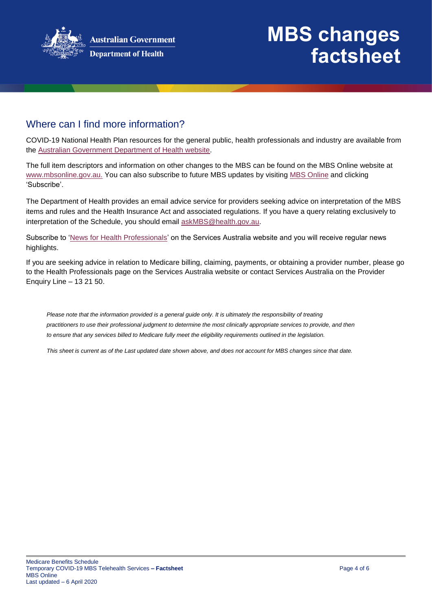

# **MBS changes factsheet**

#### Where can I find more information?

COVID-19 National Health Plan resources for the general public, health professionals and industry are available from the [Australian Government Department of Health website.](https://www.health.gov.au/resources/collections/coronavirus-covid-19-national-health-plan-resources)

The full item descriptors and information on other changes to the MBS can be found on the MBS Online website at [www.mbsonline.gov.au.](http://www.mbsonline.gov.au/) You can also subscribe to future MBS updates by visiting [MBS Online](http://www.mbsonline.gov.au/) and clicking 'Subscribe'.

The Department of Health provides an email advice service for providers seeking advice on interpretation of the MBS items and rules and the Health Insurance Act and associated regulations. If you have a query relating exclusively to interpretation of the Schedule, you should email [askMBS@health.gov.au.](mailto:askMBS@health.gov.au)

Subscribe to ['News for Health Professionals'](https://www.humanservices.gov.au/organisations/health-professionals/news/all) on the Services Australia website and you will receive regular news highlights.

If you are seeking advice in relation to Medicare billing, claiming, payments, or obtaining a provider number, please go to the Health Professionals page on the Services Australia website or contact Services Australia on the Provider Enquiry Line – 13 21 50.

*Please note that the information provided is a general guide only. It is ultimately the responsibility of treating practitioners to use their professional judgment to determine the most clinically appropriate services to provide, and then to ensure that any services billed to Medicare fully meet the eligibility requirements outlined in the legislation.* 

*This sheet is current as of the Last updated date shown above, and does not account for MBS changes since that date.*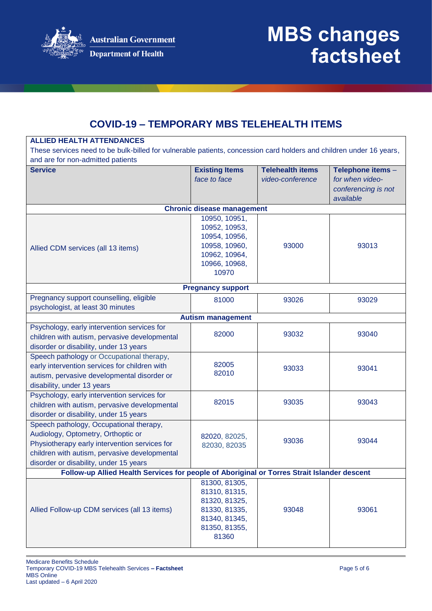

**ALLIED HEALTH ATTENDANCES**

### **COVID-19 – TEMPORARY MBS TELEHEALTH ITEMS**

| These services need to be bulk-billed for vulnerable patients, concession card holders and children under 16 years,<br>and are for non-admitted patients                                                                  |                                                                                                             |                                             |                                                                          |  |  |
|---------------------------------------------------------------------------------------------------------------------------------------------------------------------------------------------------------------------------|-------------------------------------------------------------------------------------------------------------|---------------------------------------------|--------------------------------------------------------------------------|--|--|
| <b>Service</b>                                                                                                                                                                                                            | <b>Existing Items</b><br>face to face                                                                       | <b>Telehealth items</b><br>video-conference | Telephone items -<br>for when video-<br>conferencing is not<br>available |  |  |
|                                                                                                                                                                                                                           | <b>Chronic disease management</b>                                                                           |                                             |                                                                          |  |  |
| Allied CDM services (all 13 items)                                                                                                                                                                                        | 10950, 10951,<br>10952, 10953,<br>10954, 10956,<br>10958, 10960,<br>10962, 10964,<br>10966, 10968,<br>10970 | 93000                                       | 93013                                                                    |  |  |
| <b>Pregnancy support</b>                                                                                                                                                                                                  |                                                                                                             |                                             |                                                                          |  |  |
| Pregnancy support counselling, eligible<br>psychologist, at least 30 minutes                                                                                                                                              | 81000                                                                                                       | 93026                                       | 93029                                                                    |  |  |
| <b>Autism management</b>                                                                                                                                                                                                  |                                                                                                             |                                             |                                                                          |  |  |
| Psychology, early intervention services for<br>children with autism, pervasive developmental<br>disorder or disability, under 13 years                                                                                    | 82000                                                                                                       | 93032                                       | 93040                                                                    |  |  |
| Speech pathology or Occupational therapy,<br>early intervention services for children with<br>autism, pervasive developmental disorder or<br>disability, under 13 years                                                   | 82005<br>82010                                                                                              | 93033                                       | 93041                                                                    |  |  |
| Psychology, early intervention services for<br>children with autism, pervasive developmental<br>disorder or disability, under 15 years                                                                                    | 82015                                                                                                       | 93035                                       | 93043                                                                    |  |  |
| Speech pathology, Occupational therapy,<br>Audiology, Optometry, Orthoptic or<br>Physiotherapy early intervention services for<br>children with autism, pervasive developmental<br>disorder or disability, under 15 years | 82020, 82025,<br>82030, 82035                                                                               | 93036                                       | 93044                                                                    |  |  |
| Follow-up Allied Health Services for people of Aboriginal or Torres Strait Islander descent                                                                                                                               |                                                                                                             |                                             |                                                                          |  |  |
| Allied Follow-up CDM services (all 13 items)                                                                                                                                                                              | 81300, 81305,<br>81310, 81315,<br>81320, 81325,<br>81330, 81335,<br>81340, 81345,<br>81350, 81355,<br>81360 | 93048                                       | 93061                                                                    |  |  |